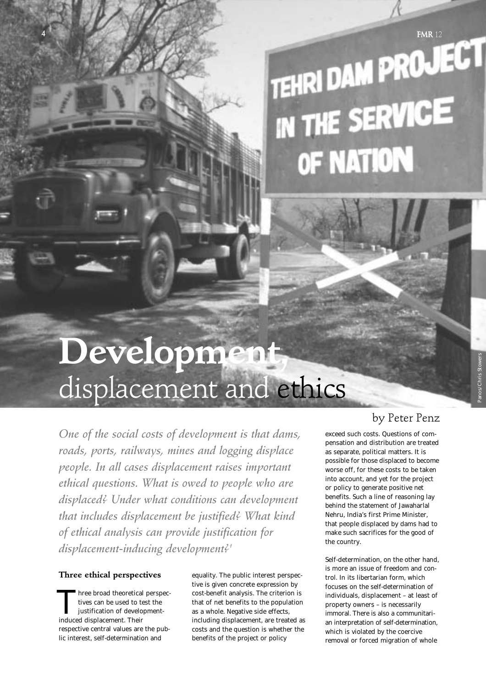# **TEHRI DAM PROJECT** IENNI PROPERVICE OF NATION

# **Development,** displacement and ethics

*One of the social costs of development is that dams, roads, ports, railways, mines and logging displace people. In all cases displacement raises important ethical questions. What is owed to people who are displaced? Under what conditions can development that includes displacement be justified? What kind of ethical analysis can provide justification for displacement-inducing development?1*

## **Three ethical perspectives**

hree broad theoretical perspectives can be used to test the justification of developmenthree broad theoretical<br>tives can be used to to<br>justification of develo<br>induced displacement. Their respective central values are the public interest, self-determination and

equality. The public interest perspective is given concrete expression by cost-benefit analysis. The criterion is that of net benefits to the population as a whole. Negative side effects, including displacement, are treated as costs and the question is whether the benefits of the project or policy

# by Peter Penz

exceed such costs. Questions of compensation and distribution are treated as separate, political matters. It is possible for those displaced to become worse off, for these costs to be taken into account, and yet for the project or policy to generate positive net benefits. Such a line of reasoning lay behind the statement of Jawaharlal Nehru, India's first Prime Minister, that people displaced by dams had to make such sacrifices for the good of the country.

Self-determination, on the other hand, is more an issue of freedom and control. In its libertarian form, which focuses on the self-determination of individuals, displacement – at least of property owners – is necessarily immoral. There is also a communitarian interpretation of self-determination, which is violated by the coercive removal or forced migration of whole